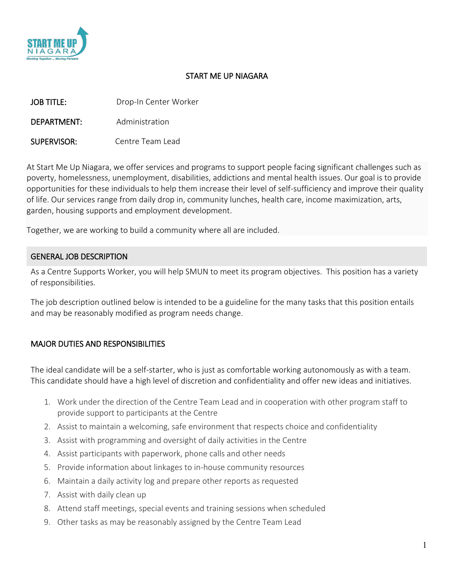

## START ME UP NIAGARA

| <b>JOB TITLE:</b> | Drop-In Center Worker |
|-------------------|-----------------------|
| DEPARTMENT:       | Administration        |
| SUPERVISOR:       | Centre Team Lead      |

At Start Me Up Niagara, we offer services and programs to support people facing significant challenges such as poverty, homelessness, unemployment, disabilities, addictions and mental health issues. Our goal is to provide opportunities for these individuals to help them increase their level of self-sufficiency and improve their quality of life. Our services range from daily drop in, community lunches, health care, income maximization, arts, garden, housing supports and employment development.

Together, we are working to build a community where all are included.

## GENERAL JOB DESCRIPTION

As a Centre Supports Worker, you will help SMUN to meet its program objectives. This position has a variety of responsibilities.

The job description outlined below is intended to be a guideline for the many tasks that this position entails and may be reasonably modified as program needs change.

## MAJOR DUTIES AND RESPONSIBILITIES

The ideal candidate will be a self-starter, who is just as comfortable working autonomously as with a team. This candidate should have a high level of discretion and confidentiality and offer new ideas and initiatives.

- 1. Work under the direction of the Centre Team Lead and in cooperation with other program staff to provide support to participants at the Centre
- 2. Assist to maintain a welcoming, safe environment that respects choice and confidentiality
- 3. Assist with programming and oversight of daily activities in the Centre
- 4. Assist participants with paperwork, phone calls and other needs
- 5. Provide information about linkages to in-house community resources
- 6. Maintain a daily activity log and prepare other reports as requested
- 7. Assist with daily clean up
- 8. Attend staff meetings, special events and training sessions when scheduled
- 9. Other tasks as may be reasonably assigned by the Centre Team Lead